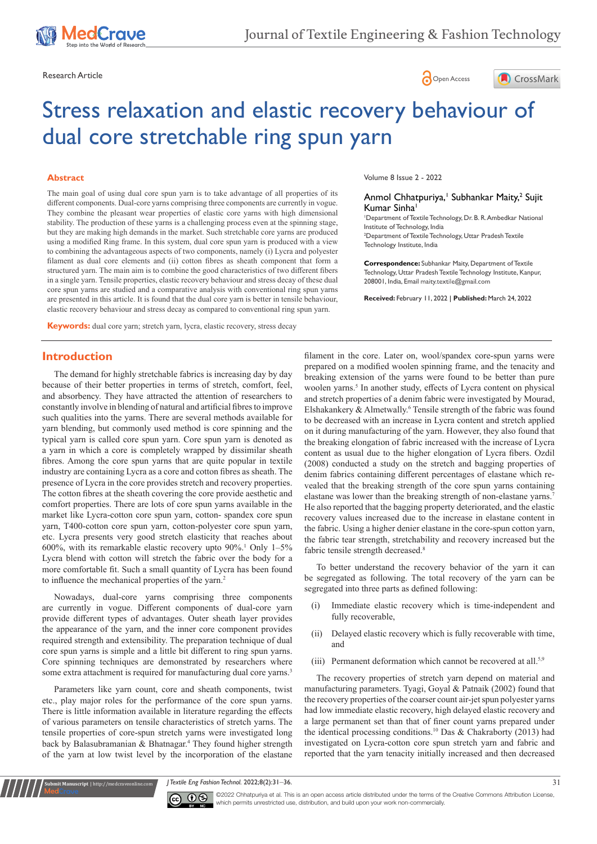





# Stress relaxation and elastic recovery behaviour of dual core stretchable ring spun yarn

#### **Abstract**

The main goal of using dual core spun yarn is to take advantage of all properties of its different components. Dual-core yarns comprising three components are currently in vogue. They combine the pleasant wear properties of elastic core yarns with high dimensional stability. The production of these yarns is a challenging process even at the spinning stage, but they are making high demands in the market. Such stretchable core yarns are produced using a modified Ring frame. In this system, dual core spun yarn is produced with a view to combining the advantageous aspects of two components, namely (i) Lycra and polyester filament as dual core elements and (ii) cotton fibres as sheath component that form a structured yarn. The main aim is to combine the good characteristics of two different fibers in a single yarn. Tensile properties, elastic recovery behaviour and stress decay of these dual core spun yarns are studied and a comparative analysis with conventional ring spun yarns are presented in this article. It is found that the dual core yarn is better in tensile behaviour, elastic recovery behaviour and stress decay as compared to conventional ring spun yarn.

**Keywords:** dual core yarn; stretch yarn, lycra, elastic recovery, stress decay

Volume 8 Issue 2 - 2022

#### Anmol Chhatpuriya,<sup>1</sup> Subhankar Maity,<sup>2</sup> Sujit Kumar Sinha<sup>1</sup>

1 Department of Textile Technology, Dr. B. R. Ambedkar National Institute of Technology, India

2 Department of Textile Technology, Uttar Pradesh Textile Technology Institute, India

**Correspondence:** Subhankar Maity, Department of Textile Technology, Uttar Pradesh Textile Technology Institute, Kanpur, 208001, India, Email maity.textile@gmail.com

**Received:** February 11, 2022 | **Published:** March 24, 2022

## **Introduction**

The demand for highly stretchable fabrics is increasing day by day because of their better properties in terms of stretch, comfort, feel, and absorbency. They have attracted the attention of researchers to constantly involve in blending of natural and artificial fibres to improve such qualities into the yarns. There are several methods available for yarn blending, but commonly used method is core spinning and the typical yarn is called core spun yarn. Core spun yarn is denoted as a yarn in which a core is completely wrapped by dissimilar sheath fibres. Among the core spun yarns that are quite popular in textile industry are containing Lycra as a core and cotton fibres as sheath. The presence of Lycra in the core provides stretch and recovery properties. The cotton fibres at the sheath covering the core provide aesthetic and comfort properties. There are lots of core spun yarns available in the market like Lycra-cotton core spun yarn, cotton- spandex core spun yarn, T400-cotton core spun yarn, cotton-polyester core spun yarn, etc. Lycra presents very good stretch elasticity that reaches about 600%, with its remarkable elastic recovery upto 90%.1 Only 1–5% Lycra blend with cotton will stretch the fabric over the body for a more comfortable fit. Such a small quantity of Lycra has been found to influence the mechanical properties of the yarn.<sup>2</sup>

Nowadays, dual-core yarns comprising three components are currently in vogue. Different components of dual-core yarn provide different types of advantages. Outer sheath layer provides the appearance of the yarn, and the inner core component provides required strength and extensibility. The preparation technique of dual core spun yarns is simple and a little bit different to ring spun yarns. Core spinning techniques are demonstrated by researchers where some extra attachment is required for manufacturing dual core yarns.<sup>3</sup>

Parameters like yarn count, core and sheath components, twist etc., play major roles for the performance of the core spun yarns. There is little information available in literature regarding the effects of various parameters on tensile characteristics of stretch yarns. The tensile properties of core-spun stretch yarns were investigated long back by Balasubramanian & Bhatnagar.<sup>4</sup> They found higher strength of the yarn at low twist level by the incorporation of the elastane

filament in the core. Later on, wool/spandex core-spun yarns were prepared on a modified woolen spinning frame, and the tenacity and breaking extension of the yarns were found to be better than pure woolen yarns.<sup>5</sup> In another study, effects of Lycra content on physical and stretch properties of a denim fabric were investigated by Mourad, Elshakankery & Almetwally.<sup>6</sup> Tensile strength of the fabric was found to be decreased with an increase in Lycra content and stretch applied on it during manufacturing of the yarn. However, they also found that the breaking elongation of fabric increased with the increase of Lycra content as usual due to the higher elongation of Lycra fibers. Ozdil (2008) conducted a study on the stretch and bagging properties of denim fabrics containing different percentages of elastane which revealed that the breaking strength of the core spun yarns containing elastane was lower than the breaking strength of non-elastane yarns.7 He also reported that the bagging property deteriorated, and the elastic recovery values increased due to the increase in elastane content in the fabric. Using a higher denier elastane in the core-spun cotton yarn, the fabric tear strength, stretchability and recovery increased but the fabric tensile strength decreased.<sup>8</sup>

To better understand the recovery behavior of the yarn it can be segregated as following. The total recovery of the yarn can be segregated into three parts as defined following:

- (i) Immediate elastic recovery which is time-independent and fully recoverable,
- (ii) Delayed elastic recovery which is fully recoverable with time, and
- (iii) Permanent deformation which cannot be recovered at all.<sup>5,9</sup>

The recovery properties of stretch yarn depend on material and manufacturing parameters. Tyagi, Goyal & Patnaik (2002) found that the recovery properties of the coarser count air-jet spun polyester yarns had low immediate elastic recovery, high delayed elastic recovery and a large permanent set than that of finer count yarns prepared under the identical processing conditions.10 Das & Chakraborty (2013) had investigated on Lycra-cotton core spun stretch yarn and fabric and reported that the yarn tenacity initially increased and then decreased

*J Textile Eng Fashion Technol.* 2022;8(2):31‒36. 31



**Kubmit Manuscript** | http://medcraveonline.com

©2022 Chhatpuriya et al. This is an open access article distributed under the terms of the [Creative Commons Attribution License](https://creativecommons.org/licenses/by-nc/4.0/), which permits unrestricted use, distribution, and build upon your work non-commercially.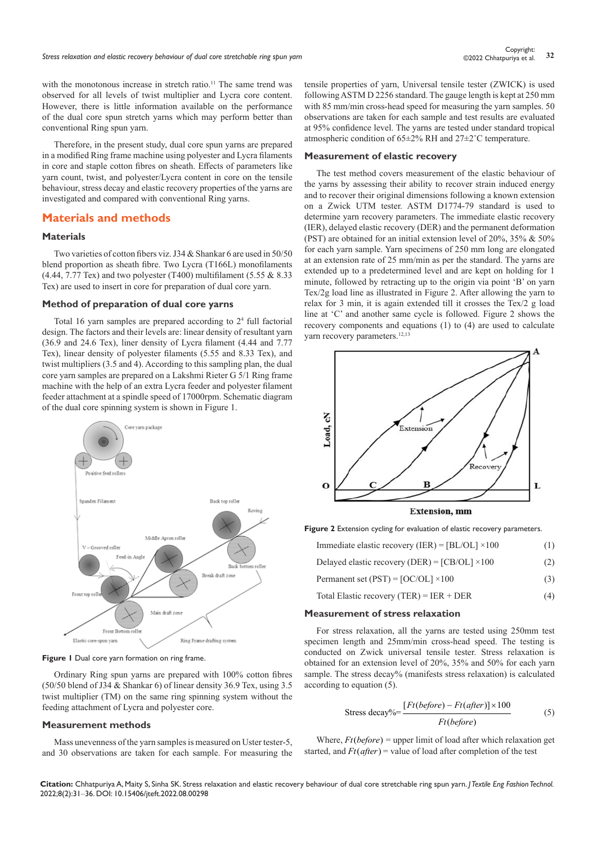with the monotonous increase in stretch ratio.<sup>11</sup> The same trend was observed for all levels of twist multiplier and Lycra core content. However, there is little information available on the performance of the dual core spun stretch yarns which may perform better than conventional Ring spun yarn.

Therefore, in the present study, dual core spun yarns are prepared in a modified Ring frame machine using polyester and Lycra filaments in core and staple cotton fibres on sheath. Effects of parameters like yarn count, twist, and polyester/Lycra content in core on the tensile behaviour, stress decay and elastic recovery properties of the yarns are investigated and compared with conventional Ring yarns.

## **Materials and methods**

## **Materials**

Two varieties of cotton fibers viz. J34 & Shankar 6 are used in 50/50 blend proportion as sheath fibre. Two Lycra (T166L) monofilaments  $(4.44, 7.77$  Tex) and two polyester (T400) multifilament  $(5.55 \& 8.33)$ Tex) are used to insert in core for preparation of dual core yarn.

#### **Method of preparation of dual core yarns**

Total 16 yarn samples are prepared according to 24 full factorial design. The factors and their levels are: linear density of resultant yarn (36.9 and 24.6 Tex), liner density of Lycra filament (4.44 and 7.77 Tex), linear density of polyester filaments (5.55 and 8.33 Tex), and twist multipliers (3.5 and 4). According to this sampling plan, the dual core yarn samples are prepared on a Lakshmi Rieter G 5/1 Ring frame machine with the help of an extra Lycra feeder and polyester filament feeder attachment at a spindle speed of 17000rpm. Schematic diagram of the dual core spinning system is shown in Figure 1.



**Figure 1** Dual core yarn formation on ring frame.

Ordinary Ring spun yarns are prepared with 100% cotton fibres (50/50 blend of J34 & Shankar 6) of linear density 36.9 Tex, using 3.5 twist multiplier (TM) on the same ring spinning system without the feeding attachment of Lycra and polyester core.

#### **Measurement methods**

Mass unevenness of the yarn samples is measured on Uster tester-5, and 30 observations are taken for each sample. For measuring the tensile properties of yarn, Universal tensile tester (ZWICK) is used following ASTM D 2256 standard. The gauge length is kept at 250 mm with 85 mm/min cross-head speed for measuring the yarn samples. 50 observations are taken for each sample and test results are evaluated at 95% confidence level. The yarns are tested under standard tropical atmospheric condition of 65±2% RH and 27±2˚C temperature.

#### **Measurement of elastic recovery**

The test method covers measurement of the elastic behaviour of the yarns by assessing their ability to recover strain induced energy and to recover their original dimensions following a known extension on a Zwick UTM tester. ASTM D1774-79 standard is used to determine yarn recovery parameters. The immediate elastic recovery (IER), delayed elastic recovery (DER) and the permanent deformation (PST) are obtained for an initial extension level of 20%, 35% & 50% for each yarn sample. Yarn specimens of 250 mm long are elongated at an extension rate of 25 mm/min as per the standard. The yarns are extended up to a predetermined level and are kept on holding for 1 minute, followed by retracting up to the origin via point 'B' on yarn Tex/2g load line as illustrated in Figure 2. After allowing the yarn to relax for 3 min, it is again extended till it crosses the Tex/2 g load line at 'C' and another same cycle is followed. Figure 2 shows the recovery components and equations (1) to (4) are used to calculate yarn recovery parameters.<sup>12,13</sup>



**Figure 2** Extension cycling for evaluation of elastic recovery parameters.

| Immediate elastic recovery (IER) = $[BL/OL] \times 100$ | (1) |
|---------------------------------------------------------|-----|
|---------------------------------------------------------|-----|

- Delayed elastic recovery (DER) =  $[CB/OL] \times 100$  (2)
- Permanent set (PST) =  $[OC/OL] \times 100$  (3)
- Total Elastic recovery (TER) = IER + DER (4)

#### **Measurement of stress relaxation**

For stress relaxation, all the yarns are tested using 250mm test specimen length and 25mm/min cross-head speed. The testing is conducted on Zwick universal tensile tester. Stress relaxation is obtained for an extension level of 20%, 35% and 50% for each yarn sample. The stress decay% (manifests stress relaxation) is calculated according to equation (5).

$$
\text{Stress decay\%} = \frac{[Ft(before) - Ft(after)] \times 100}{Ft(before)}\tag{5}
$$

Where,  $Ft(before)$  = upper limit of load after which relaxation get started, and  $Ft(after)$  = value of load after completion of the test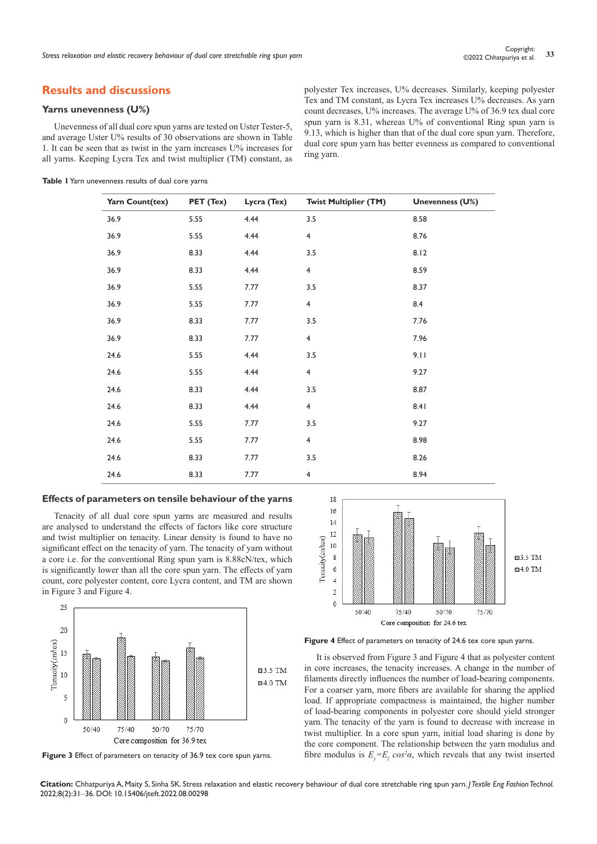## **Results and discussions**

## **Yarns unevenness (U%)**

Unevenness of all dual core spun yarns are tested on Uster Tester-5, and average Uster U% results of 30 observations are shown in Table 1. It can be seen that as twist in the yarn increases U% increases for all yarns. Keeping Lycra Tex and twist multiplier (TM) constant, as

| Table I Yarn unevenness results of dual core yarns |  |  |  |  |  |
|----------------------------------------------------|--|--|--|--|--|
|----------------------------------------------------|--|--|--|--|--|

polyester Tex increases, U% decreases. Similarly, keeping polyester Tex and TM constant, as Lycra Tex increases U% decreases. As yarn count decreases, U% increases. The average U% of 36.9 tex dual core spun yarn is 8.31, whereas U% of conventional Ring spun yarn is 9.13, which is higher than that of the dual core spun yarn. Therefore, dual core spun yarn has better evenness as compared to conventional ring yarn.

| Yarn Count(tex) |           |             |                              |                 |
|-----------------|-----------|-------------|------------------------------|-----------------|
|                 | PET (Tex) | Lycra (Tex) | <b>Twist Multiplier (TM)</b> | Unevenness (U%) |
| 36.9            | 5.55      | 4.44        | 3.5                          | 8.58            |
| 36.9            | 5.55      | 4.44        | $\overline{4}$               | 8.76            |
| 36.9            | 8.33      | 4.44        | 3.5                          | 8.12            |
| 36.9            | 8.33      | 4.44        | $\overline{4}$               | 8.59            |
| 36.9            | 5.55      | 7.77        | 3.5                          | 8.37            |
| 36.9            | 5.55      | 7.77        | $\overline{4}$               | 8.4             |
| 36.9            | 8.33      | 7.77        | 3.5                          | 7.76            |
| 36.9            | 8.33      | 7.77        | $\overline{4}$               | 7.96            |
| 24.6            | 5.55      | 4.44        | 3.5                          | 9.11            |
| 24.6            | 5.55      | 4.44        | $\overline{4}$               | 9.27            |
| 24.6            | 8.33      | 4.44        | 3.5                          | 8.87            |
| 24.6            | 8.33      | 4.44        | $\overline{4}$               | 8.41            |
| 24.6            | 5.55      | 7.77        | 3.5                          | 9.27            |
| 24.6            | 5.55      | 7.77        | $\overline{4}$               | 8.98            |
| 24.6            | 8.33      | 7.77        | 3.5                          | 8.26            |
| 24.6            | 8.33      | 7.77        | $\overline{4}$               | 8.94            |

#### **Effects of parameters on tensile behaviour of the yarns**

Tenacity of all dual core spun yarns are measured and results are analysed to understand the effects of factors like core structure and twist multiplier on tenacity. Linear density is found to have no significant effect on the tenacity of yarn. The tenacity of yarn without a core i.e. for the conventional Ring spun yarn is 8.88cN/tex, which is significantly lower than all the core spun yarn. The effects of yarn count, core polyester content, core Lycra content, and TM are shown in Figure 3 and Figure 4.



**Figure 3** Effect of parameters on tenacity of 36.9 tex core spun yarns.



**Figure 4** Effect of parameters on tenacity of 24.6 tex core spun yarns.

It is observed from Figure 3 and Figure 4 that as polyester content in core increases, the tenacity increases. A change in the number of filaments directly influences the number of load-bearing components. For a coarser yarn, more fibers are available for sharing the applied load. If appropriate compactness is maintained, the higher number of load-bearing components in polyester core should yield stronger yarn. The tenacity of the yarn is found to decrease with increase in twist multiplier. In a core spun yarn, initial load sharing is done by the core component. The relationship between the yarn modulus and fibre modulus is  $E_y = E_f \cos^2 \alpha$ , which reveals that any twist inserted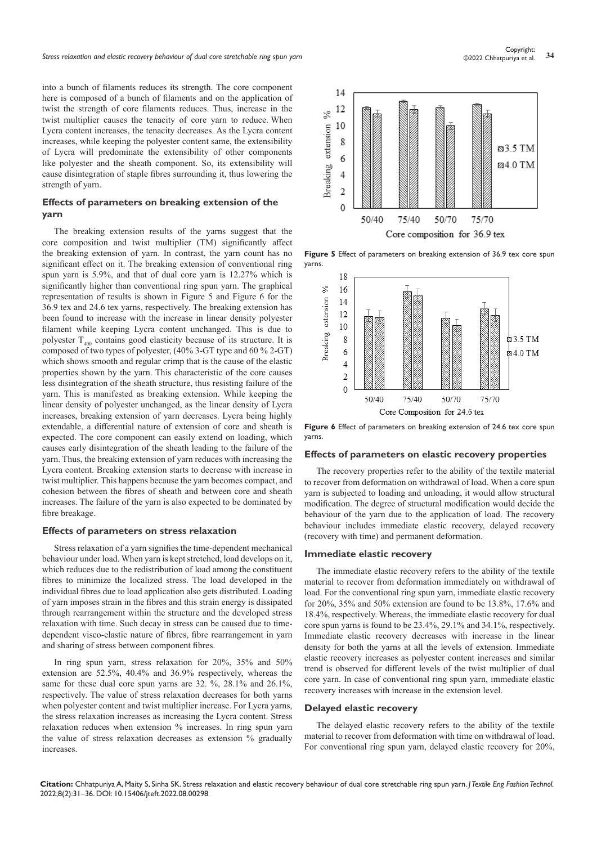into a bunch of filaments reduces its strength. The core component here is composed of a bunch of filaments and on the application of twist the strength of core filaments reduces. Thus, increase in the twist multiplier causes the tenacity of core yarn to reduce. When Lycra content increases, the tenacity decreases. As the Lycra content increases, while keeping the polyester content same, the extensibility of Lycra will predominate the extensibility of other components like polyester and the sheath component. So, its extensibility will cause disintegration of staple fibres surrounding it, thus lowering the strength of yarn.

## **Effects of parameters on breaking extension of the yarn**

The breaking extension results of the yarns suggest that the core composition and twist multiplier (TM) significantly affect the breaking extension of yarn. In contrast, the yarn count has no significant effect on it. The breaking extension of conventional ring spun yarn is 5.9%, and that of dual core yarn is 12.27% which is significantly higher than conventional ring spun yarn. The graphical representation of results is shown in Figure 5 and Figure 6 for the 36.9 tex and 24.6 tex yarns, respectively. The breaking extension has been found to increase with the increase in linear density polyester filament while keeping Lycra content unchanged. This is due to polyester  $T_{400}$  contains good elasticity because of its structure. It is composed of two types of polyester, (40% 3-GT type and 60 % 2-GT) which shows smooth and regular crimp that is the cause of the elastic properties shown by the yarn. This characteristic of the core causes less disintegration of the sheath structure, thus resisting failure of the yarn. This is manifested as breaking extension. While keeping the linear density of polyester unchanged, as the linear density of Lycra increases, breaking extension of yarn decreases. Lycra being highly extendable, a differential nature of extension of core and sheath is expected. The core component can easily extend on loading, which causes early disintegration of the sheath leading to the failure of the yarn. Thus, the breaking extension of yarn reduces with increasing the Lycra content. Breaking extension starts to decrease with increase in twist multiplier. This happens because the yarn becomes compact, and cohesion between the fibres of sheath and between core and sheath increases. The failure of the yarn is also expected to be dominated by fibre breakage.

#### **Effects of parameters on stress relaxation**

Stress relaxation of a yarn signifies the time-dependent mechanical behaviour under load. When yarn is kept stretched, load develops on it, which reduces due to the redistribution of load among the constituent fibres to minimize the localized stress. The load developed in the individual fibres due to load application also gets distributed. Loading of yarn imposes strain in the fibres and this strain energy is dissipated through rearrangement within the structure and the developed stress relaxation with time. Such decay in stress can be caused due to timedependent visco-elastic nature of fibres, fibre rearrangement in yarn and sharing of stress between component fibres.

In ring spun yarn, stress relaxation for 20%, 35% and 50% extension are 52.5%, 40.4% and 36.9% respectively, whereas the same for these dual core spun yarns are 32. %, 28.1% and 26.1%, respectively. The value of stress relaxation decreases for both yarns when polyester content and twist multiplier increase. For Lycra yarns, the stress relaxation increases as increasing the Lycra content. Stress relaxation reduces when extension % increases. In ring spun yarn the value of stress relaxation decreases as extension % gradually increases.



Figure 5 Effect of parameters on breaking extension of 36.9 tex core spun yarns.



Figure 6 Effect of parameters on breaking extension of 24.6 tex core spun yarns.

#### **Effects of parameters on elastic recovery properties**

The recovery properties refer to the ability of the textile material to recover from deformation on withdrawal of load. When a core spun yarn is subjected to loading and unloading, it would allow structural modification. The degree of structural modification would decide the behaviour of the yarn due to the application of load. The recovery behaviour includes immediate elastic recovery, delayed recovery (recovery with time) and permanent deformation.

#### **Immediate elastic recovery**

The immediate elastic recovery refers to the ability of the textile material to recover from deformation immediately on withdrawal of load. For the conventional ring spun yarn, immediate elastic recovery for 20%, 35% and 50% extension are found to be 13.8%, 17.6% and 18.4%, respectively. Whereas, the immediate elastic recovery for dual core spun yarns is found to be 23.4%, 29.1% and 34.1%, respectively. Immediate elastic recovery decreases with increase in the linear density for both the yarns at all the levels of extension. Immediate elastic recovery increases as polyester content increases and similar trend is observed for different levels of the twist multiplier of dual core yarn. In case of conventional ring spun yarn, immediate elastic recovery increases with increase in the extension level.

#### **Delayed elastic recovery**

The delayed elastic recovery refers to the ability of the textile material to recover from deformation with time on withdrawal of load. For conventional ring spun yarn, delayed elastic recovery for 20%,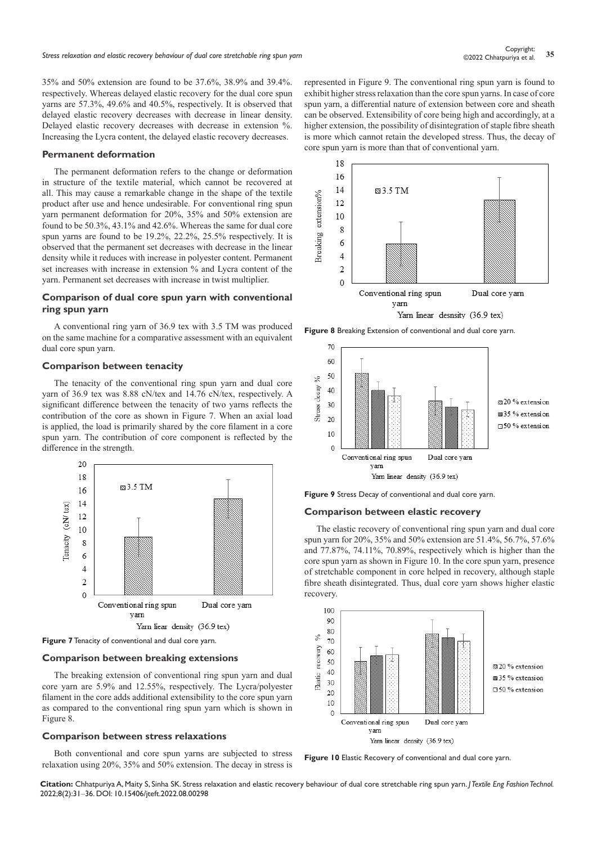35% and 50% extension are found to be 37.6%, 38.9% and 39.4%. respectively. Whereas delayed elastic recovery for the dual core spun yarns are 57.3%, 49.6% and 40.5%, respectively. It is observed that delayed elastic recovery decreases with decrease in linear density. Delayed elastic recovery decreases with decrease in extension %. Increasing the Lycra content, the delayed elastic recovery decreases.

#### **Permanent deformation**

The permanent deformation refers to the change or deformation in structure of the textile material, which cannot be recovered at all. This may cause a remarkable change in the shape of the textile product after use and hence undesirable. For conventional ring spun yarn permanent deformation for 20%, 35% and 50% extension are found to be 50.3%, 43.1% and 42.6%. Whereas the same for dual core spun yarns are found to be 19.2%, 22.2%, 25.5% respectively. It is observed that the permanent set decreases with decrease in the linear density while it reduces with increase in polyester content. Permanent set increases with increase in extension % and Lycra content of the yarn. Permanent set decreases with increase in twist multiplier.

#### **Comparison of dual core spun yarn with conventional ring spun yarn**

A conventional ring yarn of 36.9 tex with 3.5 TM was produced on the same machine for a comparative assessment with an equivalent dual core spun yarn.

#### **Comparison between tenacity**

The tenacity of the conventional ring spun yarn and dual core yarn of 36.9 tex was 8.88 cN/tex and 14.76 cN/tex, respectively. A significant difference between the tenacity of two yarns reflects the contribution of the core as shown in Figure 7. When an axial load is applied, the load is primarily shared by the core filament in a core spun yarn. The contribution of core component is reflected by the difference in the strength.



**Figure 7** Tenacity of conventional and dual core yarn.

## **Comparison between breaking extensions**

The breaking extension of conventional ring spun yarn and dual core yarn are 5.9% and 12.55%, respectively. The Lycra/polyester filament in the core adds additional extensibility to the core spun yarn as compared to the conventional ring spun yarn which is shown in Figure 8.

#### **Comparison between stress relaxations**

Both conventional and core spun yarns are subjected to stress relaxation using 20%, 35% and 50% extension. The decay in stress is

represented in Figure 9. The conventional ring spun yarn is found to exhibit higher stress relaxation than the core spun yarns. In case of core spun yarn, a differential nature of extension between core and sheath can be observed. Extensibility of core being high and accordingly, at a higher extension, the possibility of disintegration of staple fibre sheath is more which cannot retain the developed stress. Thus, the decay of core spun yarn is more than that of conventional yarn.



**Figure 8** Breaking Extension of conventional and dual core yarn.



**Figure 9** Stress Decay of conventional and dual core yarn.

#### **Comparison between elastic recovery**

The elastic recovery of conventional ring spun yarn and dual core spun yarn for 20%, 35% and 50% extension are 51.4%, 56.7%, 57.6% and 77.87%, 74.11%, 70.89%, respectively which is higher than the core spun yarn as shown in Figure 10. In the core spun yarn, presence of stretchable component in core helped in recovery, although staple fibre sheath disintegrated. Thus, dual core yarn shows higher elastic recovery.



**Figure 10** Elastic Recovery of conventional and dual core yarn.